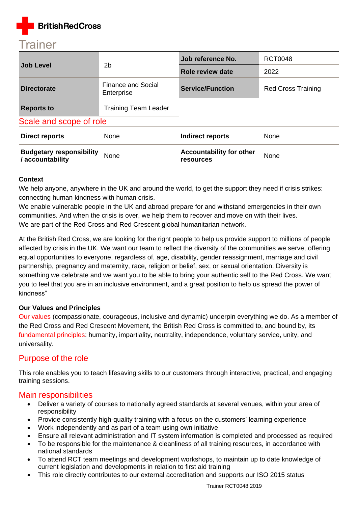

|                         | 2 <sub>b</sub>                          | Job reference No.       | <b>RCT0048</b>            |  |
|-------------------------|-----------------------------------------|-------------------------|---------------------------|--|
| <b>Job Level</b>        |                                         | Role review date        | 2022                      |  |
| <b>Directorate</b>      | <b>Finance and Social</b><br>Enterprise | <b>Service/Function</b> | <b>Red Cross Training</b> |  |
| <b>Reports to</b>       | <b>Training Team Leader</b>             |                         |                           |  |
| Scale and scope of role |                                         |                         |                           |  |

| Direct reports                                      | None | Indirect reports                             | None |  |
|-----------------------------------------------------|------|----------------------------------------------|------|--|
| <b>Budgetary responsibility</b><br>/ accountability | None | <b>Accountability for other</b><br>resources | None |  |

#### **Context**

We help anyone, anywhere in the UK and around the world, to get the support they need if crisis strikes: connecting human kindness with human crisis.

We enable vulnerable people in the UK and abroad prepare for and withstand emergencies in their own communities. And when the crisis is over, we help them to recover and move on with their lives. We are part of the Red Cross and Red Crescent global humanitarian network.

At the British Red Cross, we are looking for the right people to help us provide support to millions of people affected by crisis in the UK. We want our team to reflect the diversity of the communities we serve, offering equal opportunities to everyone, regardless of, age, disability, gender reassignment, marriage and civil partnership, pregnancy and maternity, race, religion or belief, sex, or sexual orientation. Diversity is something we celebrate and we want you to be able to bring your authentic self to the Red Cross. We want you to feel that you are in an inclusive environment, and a great position to help us spread the power of kindness"

#### **Our Values and Principles**

[Our values](http://www.redcross.org.uk/About-us/Who-we-are/Our-values) (compassionate, courageous, inclusive and dynamic) underpin everything we do. As a member of the Red Cross and Red Crescent Movement, the British Red Cross is committed to, and bound by, its [fundamental principles:](http://www.redcross.org.uk/principles) humanity, impartiality, neutrality, independence, voluntary service, unity, and universality.

## Purpose of the role

This role enables you to teach lifesaving skills to our customers through interactive, practical, and engaging training sessions.

### Main responsibilities

- Deliver a variety of courses to nationally agreed standards at several venues, within your area of responsibility
- Provide consistently high-quality training with a focus on the customers' learning experience
- Work independently and as part of a team using own initiative
- Ensure all relevant administration and IT system information is completed and processed as required
- To be responsible for the maintenance & cleanliness of all training resources, in accordance with national standards
- To attend RCT team meetings and development workshops, to maintain up to date knowledge of current legislation and developments in relation to first aid training
- This role directly contributes to our external accreditation and supports our ISO 2015 status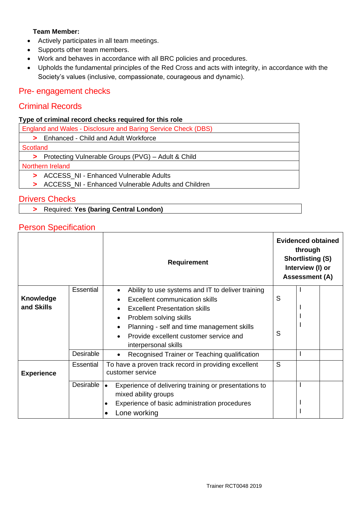### **Team Member:**

- Actively participates in all team meetings.
- Supports other team members.
- Work and behaves in accordance with all BRC policies and procedures.
- Upholds the fundamental principles of the Red Cross and acts with integrity, in accordance with the Society's values (inclusive, compassionate, courageous and dynamic).

# Pre- engagement checks

# Criminal Records

### **Type of criminal record checks required for this role**

|                  | England and Wales - Disclosure and Baring Service Check (DBS) |  |  |
|------------------|---------------------------------------------------------------|--|--|
|                  | > Enhanced - Child and Adult Workforce                        |  |  |
| Scotland         |                                                               |  |  |
|                  | > Protecting Vulnerable Groups (PVG) - Adult & Child          |  |  |
| Northern Ireland |                                                               |  |  |
|                  | > ACCESS NI - Enhanced Vulnerable Adults                      |  |  |
|                  | ACCESS_NI - Enhanced Vulnerable Adults and Children           |  |  |

## Drivers Checks

**>** Required: **Yes (baring Central London)**

## Person Specification

|                   |           | <b>Requirement</b>                                                                  |   | <b>Evidenced obtained</b><br>through<br><b>Shortlisting (S)</b><br>Interview (I) or<br><b>Assessment (A)</b> |  |  |
|-------------------|-----------|-------------------------------------------------------------------------------------|---|--------------------------------------------------------------------------------------------------------------|--|--|
|                   | Essential | Ability to use systems and IT to deliver training                                   |   |                                                                                                              |  |  |
| <b>Knowledge</b>  |           | Excellent communication skills                                                      | S |                                                                                                              |  |  |
| and Skills        |           | <b>Excellent Presentation skills</b>                                                |   |                                                                                                              |  |  |
|                   |           | Problem solving skills<br>٠                                                         |   |                                                                                                              |  |  |
|                   |           | Planning - self and time management skills<br>$\bullet$                             |   |                                                                                                              |  |  |
|                   |           | Provide excellent customer service and                                              | S |                                                                                                              |  |  |
|                   |           | interpersonal skills                                                                |   |                                                                                                              |  |  |
|                   | Desirable | Recognised Trainer or Teaching qualification                                        |   |                                                                                                              |  |  |
| <b>Experience</b> | Essential | To have a proven track record in providing excellent<br>customer service            |   |                                                                                                              |  |  |
|                   | Desirable | Experience of delivering training or presentations to<br>١o<br>mixed ability groups |   |                                                                                                              |  |  |
|                   |           | Experience of basic administration procedures                                       |   |                                                                                                              |  |  |
|                   |           | Lone working                                                                        |   |                                                                                                              |  |  |